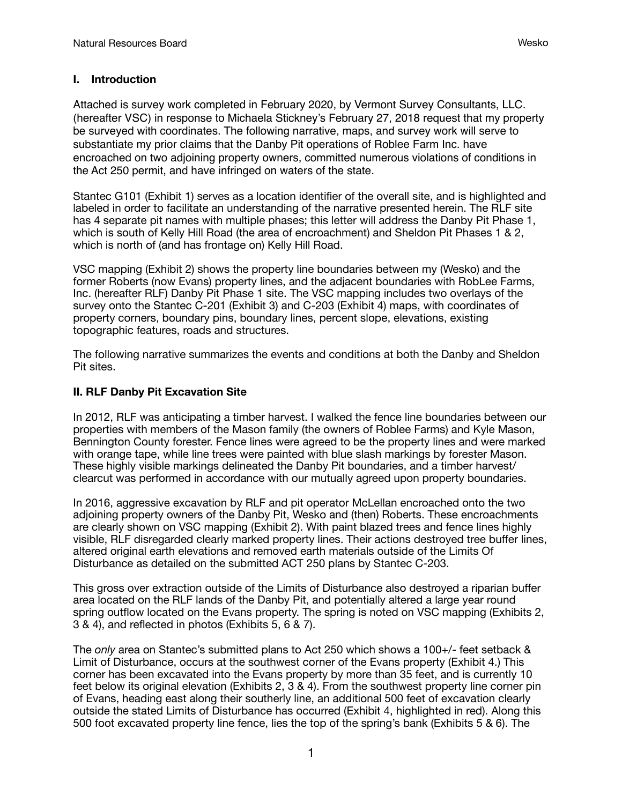## **I. Introduction**

Attached is survey work completed in February 2020, by Vermont Survey Consultants, LLC. (hereafter VSC) in response to Michaela Stickney's February 27, 2018 request that my property be surveyed with coordinates. The following narrative, maps, and survey work will serve to substantiate my prior claims that the Danby Pit operations of Roblee Farm Inc. have encroached on two adjoining property owners, committed numerous violations of conditions in the Act 250 permit, and have infringed on waters of the state.

Stantec G101 (Exhibit 1) serves as a location identifier of the overall site, and is highlighted and labeled in order to facilitate an understanding of the narrative presented herein. The RLF site has 4 separate pit names with multiple phases; this letter will address the Danby Pit Phase 1, which is south of Kelly Hill Road (the area of encroachment) and Sheldon Pit Phases 1 & 2, which is north of (and has frontage on) Kelly Hill Road.

VSC mapping (Exhibit 2) shows the property line boundaries between my (Wesko) and the former Roberts (now Evans) property lines, and the adjacent boundaries with RobLee Farms, Inc. (hereafter RLF) Danby Pit Phase 1 site. The VSC mapping includes two overlays of the survey onto the Stantec C-201 (Exhibit 3) and C-203 (Exhibit 4) maps, with coordinates of property corners, boundary pins, boundary lines, percent slope, elevations, existing topographic features, roads and structures.

The following narrative summarizes the events and conditions at both the Danby and Sheldon Pit sites.

## **II. RLF Danby Pit Excavation Site**

In 2012, RLF was anticipating a timber harvest. I walked the fence line boundaries between our properties with members of the Mason family (the owners of Roblee Farms) and Kyle Mason, Bennington County forester. Fence lines were agreed to be the property lines and were marked with orange tape, while line trees were painted with blue slash markings by forester Mason. These highly visible markings delineated the Danby Pit boundaries, and a timber harvest/ clearcut was performed in accordance with our mutually agreed upon property boundaries.

In 2016, aggressive excavation by RLF and pit operator McLellan encroached onto the two adjoining property owners of the Danby Pit, Wesko and (then) Roberts. These encroachments are clearly shown on VSC mapping (Exhibit 2). With paint blazed trees and fence lines highly visible, RLF disregarded clearly marked property lines. Their actions destroyed tree buffer lines, altered original earth elevations and removed earth materials outside of the Limits Of Disturbance as detailed on the submitted ACT 250 plans by Stantec C-203.

This gross over extraction outside of the Limits of Disturbance also destroyed a riparian buffer area located on the RLF lands of the Danby Pit, and potentially altered a large year round spring outflow located on the Evans property. The spring is noted on VSC mapping (Exhibits 2, 3 & 4), and reflected in photos (Exhibits 5, 6 & 7).

The *only* area on Stantec's submitted plans to Act 250 which shows a 100+/- feet setback & Limit of Disturbance, occurs at the southwest corner of the Evans property (Exhibit 4.) This corner has been excavated into the Evans property by more than 35 feet, and is currently 10 feet below its original elevation (Exhibits 2, 3 & 4). From the southwest property line corner pin of Evans, heading east along their southerly line, an additional 500 feet of excavation clearly outside the stated Limits of Disturbance has occurred (Exhibit 4, highlighted in red). Along this 500 foot excavated property line fence, lies the top of the spring's bank (Exhibits 5 & 6). The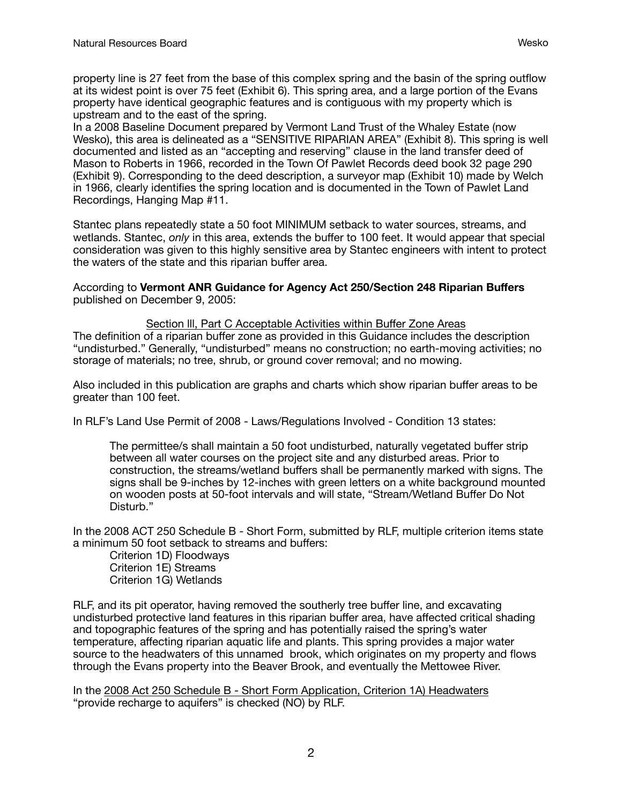property line is 27 feet from the base of this complex spring and the basin of the spring outflow at its widest point is over 75 feet (Exhibit 6). This spring area, and a large portion of the Evans property have identical geographic features and is contiguous with my property which is upstream and to the east of the spring.

In a 2008 Baseline Document prepared by Vermont Land Trust of the Whaley Estate (now Wesko), this area is delineated as a "SENSITIVE RIPARIAN AREA" (Exhibit 8). This spring is well documented and listed as an "accepting and reserving" clause in the land transfer deed of Mason to Roberts in 1966, recorded in the Town Of Pawlet Records deed book 32 page 290 (Exhibit 9). Corresponding to the deed description, a surveyor map (Exhibit 10) made by Welch in 1966, clearly identifies the spring location and is documented in the Town of Pawlet Land Recordings, Hanging Map #11.

Stantec plans repeatedly state a 50 foot MINIMUM setback to water sources, streams, and wetlands. Stantec, *only* in this area, extends the buffer to 100 feet. It would appear that special consideration was given to this highly sensitive area by Stantec engineers with intent to protect the waters of the state and this riparian buffer area.

According to **Vermont ANR Guidance for Agency Act 250/Section 248 Riparian Buffers**  published on December 9, 2005:

### Section lll, Part C Acceptable Activities within Buffer Zone Areas

The definition of a riparian buffer zone as provided in this Guidance includes the description "undisturbed." Generally, "undisturbed" means no construction; no earth-moving activities; no storage of materials; no tree, shrub, or ground cover removal; and no mowing.

Also included in this publication are graphs and charts which show riparian buffer areas to be greater than 100 feet.

In RLF's Land Use Permit of 2008 - Laws/Regulations Involved - Condition 13 states:

The permittee/s shall maintain a 50 foot undisturbed, naturally vegetated buffer strip between all water courses on the project site and any disturbed areas. Prior to construction, the streams/wetland buffers shall be permanently marked with signs. The signs shall be 9-inches by 12-inches with green letters on a white background mounted on wooden posts at 50-foot intervals and will state, "Stream/Wetland Buffer Do Not Disturb."

In the 2008 ACT 250 Schedule B - Short Form, submitted by RLF, multiple criterion items state a minimum 50 foot setback to streams and buffers:

Criterion 1D) Floodways Criterion 1E) Streams Criterion 1G) Wetlands

RLF, and its pit operator, having removed the southerly tree buffer line, and excavating undisturbed protective land features in this riparian buffer area, have affected critical shading and topographic features of the spring and has potentially raised the spring's water temperature, affecting riparian aquatic life and plants. This spring provides a major water source to the headwaters of this unnamed brook, which originates on my property and flows through the Evans property into the Beaver Brook, and eventually the Mettowee River.

In the 2008 Act 250 Schedule B - Short Form Application, Criterion 1A) Headwaters "provide recharge to aquifers" is checked (NO) by RLF.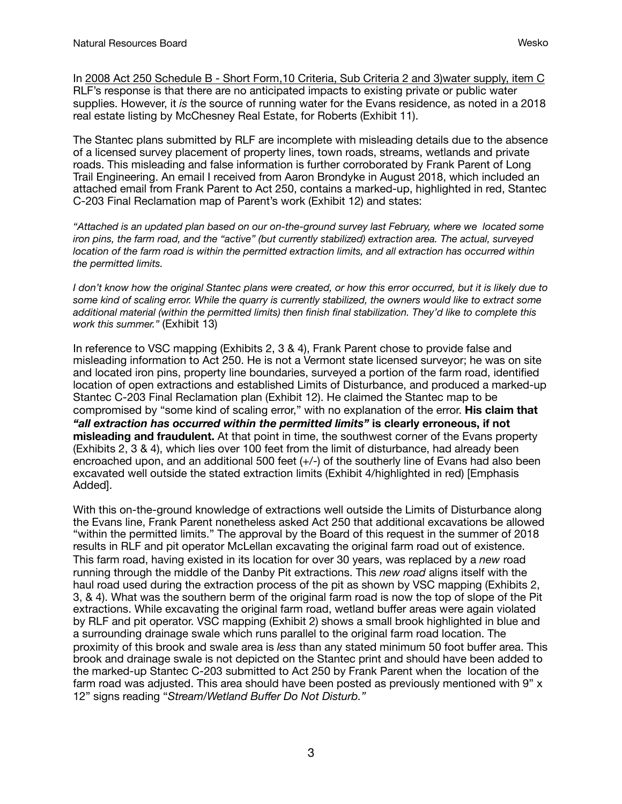In 2008 Act 250 Schedule B - Short Form, 10 Criteria, Sub Criteria 2 and 3)water supply, item C RLF's response is that there are no anticipated impacts to existing private or public water supplies. However, it *is* the source of running water for the Evans residence, as noted in a 2018 real estate listing by McChesney Real Estate, for Roberts (Exhibit 11).

The Stantec plans submitted by RLF are incomplete with misleading details due to the absence of a licensed survey placement of property lines, town roads, streams, wetlands and private roads. This misleading and false information is further corroborated by Frank Parent of Long Trail Engineering. An email I received from Aaron Brondyke in August 2018, which included an attached email from Frank Parent to Act 250, contains a marked-up, highlighted in red, Stantec C-203 Final Reclamation map of Parent's work (Exhibit 12) and states:

*"Attached is an updated plan based on our on-the-ground survey last February, where we located some iron pins, the farm road, and the "active" (but currently stabilized) extraction area. The actual, surveyed location of the farm road is within the permitted extraction limits, and all extraction has occurred within the permitted limits.* 

*I don't know how the original Stantec plans were created, or how this error occurred, but it is likely due to some kind of scaling error. While the quarry is currently stabilized, the owners would like to extract some additional material (within the permitted limits) then finish final stabilization. They'd like to complete this work this summer."* (Exhibit 13)

In reference to VSC mapping (Exhibits 2, 3 & 4), Frank Parent chose to provide false and misleading information to Act 250. He is not a Vermont state licensed surveyor; he was on site and located iron pins, property line boundaries, surveyed a portion of the farm road, identified location of open extractions and established Limits of Disturbance, and produced a marked-up Stantec C-203 Final Reclamation plan (Exhibit 12). He claimed the Stantec map to be compromised by "some kind of scaling error," with no explanation of the error. **His claim that**  *"all extraction has occurred within the permitted limits"* **is clearly erroneous, if not misleading and fraudulent.** At that point in time, the southwest corner of the Evans property (Exhibits 2, 3 & 4), which lies over 100 feet from the limit of disturbance, had already been encroached upon, and an additional 500 feet (+/-) of the southerly line of Evans had also been excavated well outside the stated extraction limits (Exhibit 4/highlighted in red) [Emphasis Added].

With this on-the-ground knowledge of extractions well outside the Limits of Disturbance along the Evans line, Frank Parent nonetheless asked Act 250 that additional excavations be allowed "within the permitted limits." The approval by the Board of this request in the summer of 2018 results in RLF and pit operator McLellan excavating the original farm road out of existence. This farm road, having existed in its location for over 30 years, was replaced by a *new* road running through the middle of the Danby Pit extractions. This *new road* aligns itself with the haul road used during the extraction process of the pit as shown by VSC mapping (Exhibits 2, 3, & 4). What was the southern berm of the original farm road is now the top of slope of the Pit extractions. While excavating the original farm road, wetland buffer areas were again violated by RLF and pit operator. VSC mapping (Exhibit 2) shows a small brook highlighted in blue and a surrounding drainage swale which runs parallel to the original farm road location. The proximity of this brook and swale area is *less* than any stated minimum 50 foot buffer area. This brook and drainage swale is not depicted on the Stantec print and should have been added to the marked-up Stantec C-203 submitted to Act 250 by Frank Parent when the location of the farm road was adjusted. This area should have been posted as previously mentioned with 9" x 12" signs reading "*Stream/Wetland Buffer Do Not Disturb."*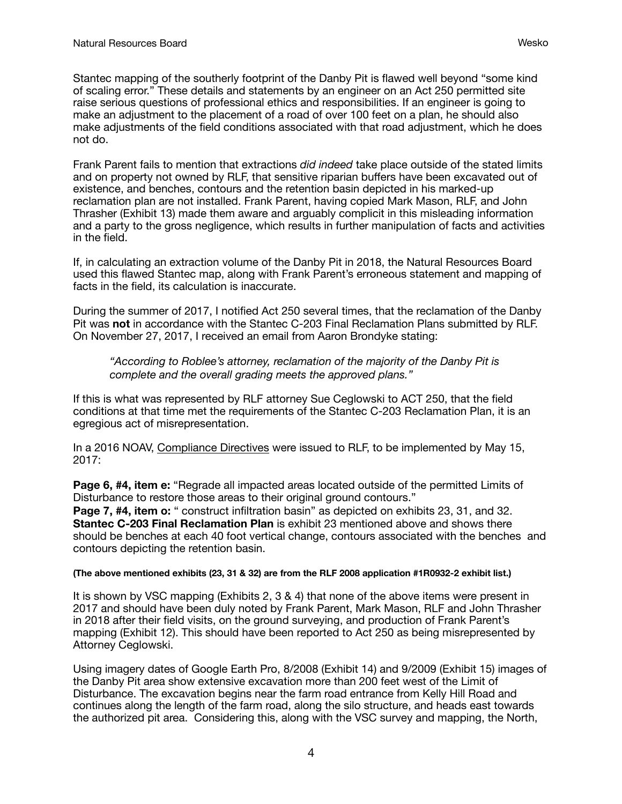Stantec mapping of the southerly footprint of the Danby Pit is flawed well beyond "some kind of scaling error." These details and statements by an engineer on an Act 250 permitted site raise serious questions of professional ethics and responsibilities. If an engineer is going to make an adjustment to the placement of a road of over 100 feet on a plan, he should also make adjustments of the field conditions associated with that road adjustment, which he does not do.

Frank Parent fails to mention that extractions *did indeed* take place outside of the stated limits and on property not owned by RLF, that sensitive riparian buffers have been excavated out of existence, and benches, contours and the retention basin depicted in his marked-up reclamation plan are not installed. Frank Parent, having copied Mark Mason, RLF, and John Thrasher (Exhibit 13) made them aware and arguably complicit in this misleading information and a party to the gross negligence, which results in further manipulation of facts and activities in the field.

If, in calculating an extraction volume of the Danby Pit in 2018, the Natural Resources Board used this flawed Stantec map, along with Frank Parent's erroneous statement and mapping of facts in the field, its calculation is inaccurate.

During the summer of 2017, I notified Act 250 several times, that the reclamation of the Danby Pit was **not** in accordance with the Stantec C-203 Final Reclamation Plans submitted by RLF. On November 27, 2017, I received an email from Aaron Brondyke stating:

*"According to Roblee's attorney, reclamation of the majority of the Danby Pit is complete and the overall grading meets the approved plans."*

If this is what was represented by RLF attorney Sue Ceglowski to ACT 250, that the field conditions at that time met the requirements of the Stantec C-203 Reclamation Plan, it is an egregious act of misrepresentation.

In a 2016 NOAV, Compliance Directives were issued to RLF, to be implemented by May 15, 2017:

Page 6, #4, item e: "Regrade all impacted areas located outside of the permitted Limits of Disturbance to restore those areas to their original ground contours." **Page 7, #4, item o:** " construct infiltration basin" as depicted on exhibits 23, 31, and 32. **Stantec C-203 Final Reclamation Plan** is exhibit 23 mentioned above and shows there should be benches at each 40 foot vertical change, contours associated with the benches and contours depicting the retention basin.

#### **(The above mentioned exhibits (23, 31 & 32) are from the RLF 2008 application #1R0932-2 exhibit list.)**

It is shown by VSC mapping (Exhibits 2, 3 & 4) that none of the above items were present in 2017 and should have been duly noted by Frank Parent, Mark Mason, RLF and John Thrasher in 2018 after their field visits, on the ground surveying, and production of Frank Parent's mapping (Exhibit 12). This should have been reported to Act 250 as being misrepresented by Attorney Ceglowski.

Using imagery dates of Google Earth Pro, 8/2008 (Exhibit 14) and 9/2009 (Exhibit 15) images of the Danby Pit area show extensive excavation more than 200 feet west of the Limit of Disturbance. The excavation begins near the farm road entrance from Kelly Hill Road and continues along the length of the farm road, along the silo structure, and heads east towards the authorized pit area. Considering this, along with the VSC survey and mapping, the North,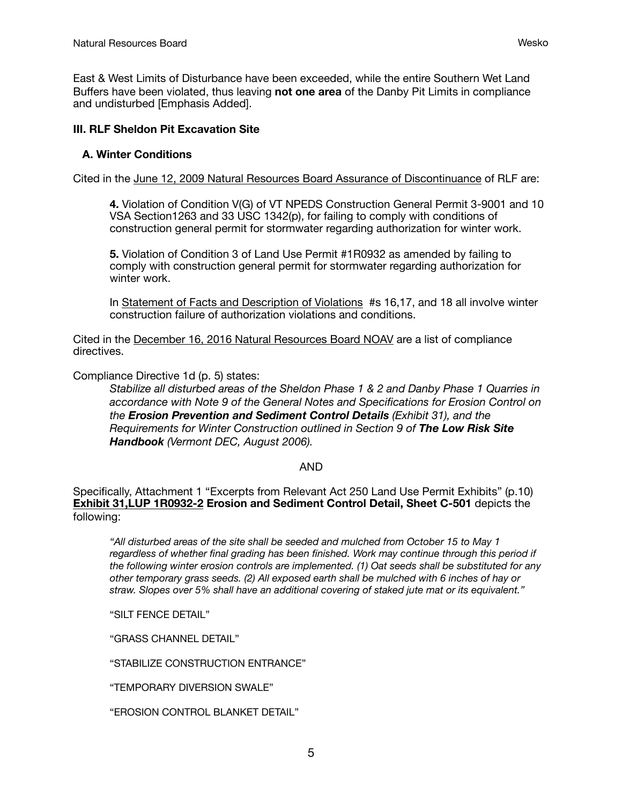East & West Limits of Disturbance have been exceeded, while the entire Southern Wet Land Buffers have been violated, thus leaving **not one area** of the Danby Pit Limits in compliance and undisturbed [Emphasis Added].

## **III. RLF Sheldon Pit Excavation Site**

## **A. Winter Conditions**

Cited in the June 12, 2009 Natural Resources Board Assurance of Discontinuance of RLF are:

**4.** Violation of Condition V(G) of VT NPEDS Construction General Permit 3-9001 and 10 VSA Section1263 and 33 USC 1342(p), for failing to comply with conditions of construction general permit for stormwater regarding authorization for winter work.

**5.** Violation of Condition 3 of Land Use Permit #1R0932 as amended by failing to comply with construction general permit for stormwater regarding authorization for winter work.

In Statement of Facts and Description of Violations #s 16,17, and 18 all involve winter construction failure of authorization violations and conditions.

Cited in the December 16, 2016 Natural Resources Board NOAV are a list of compliance directives.

Compliance Directive 1d (p. 5) states:

*Stabilize all disturbed areas of the Sheldon Phase 1 & 2 and Danby Phase 1 Quarries in accordance with Note 9 of the General Notes and Specifications for Erosion Control on the Erosion Prevention and Sediment Control Details (Exhibit 31), and the Requirements for Winter Construction outlined in Section 9 of The Low Risk Site Handbook (Vermont DEC, August 2006).* 

### AND

Specifically, Attachment 1 "Excerpts from Relevant Act 250 Land Use Permit Exhibits" (p.10) **Exhibit 31,LUP 1R0932-2 Erosion and Sediment Control Detail, Sheet C-501** depicts the following:

*"All disturbed areas of the site shall be seeded and mulched from October 15 to May 1 regardless of whether final grading has been finished. Work may continue through this period if the following winter erosion controls are implemented. (1) Oat seeds shall be substituted for any other temporary grass seeds. (2) All exposed earth shall be mulched with 6 inches of hay or straw. Slopes over 5% shall have an additional covering of staked jute mat or its equivalent."* 

"SILT FENCE DETAIL"

"GRASS CHANNEL DETAIL"

"STABILIZE CONSTRUCTION ENTRANCE"

"TEMPORARY DIVERSION SWALE"

"EROSION CONTROL BLANKET DETAIL"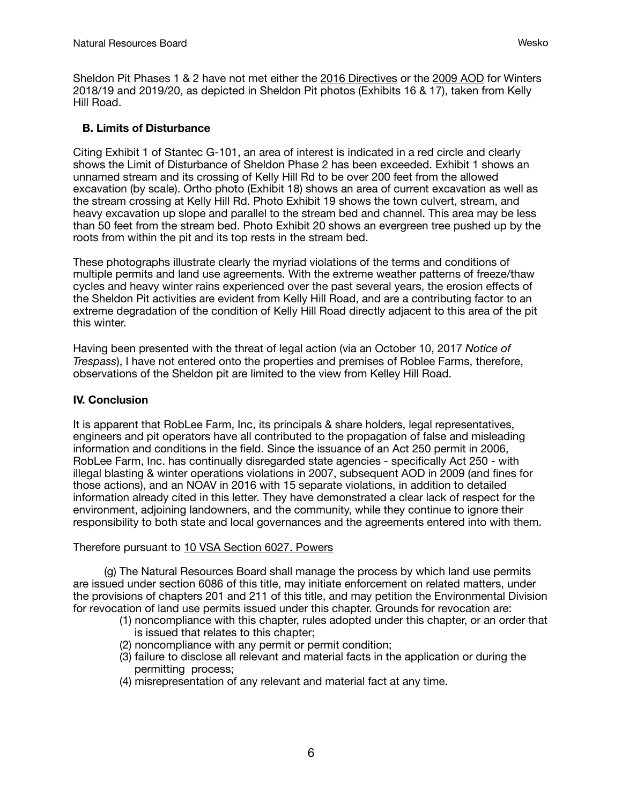Sheldon Pit Phases 1 & 2 have not met either the 2016 Directives or the 2009 AOD for Winters 2018/19 and 2019/20, as depicted in Sheldon Pit photos (Exhibits 16 & 17), taken from Kelly Hill Road.

## **B. Limits of Disturbance**

Citing Exhibit 1 of Stantec G-101, an area of interest is indicated in a red circle and clearly shows the Limit of Disturbance of Sheldon Phase 2 has been exceeded. Exhibit 1 shows an unnamed stream and its crossing of Kelly Hill Rd to be over 200 feet from the allowed excavation (by scale). Ortho photo (Exhibit 18) shows an area of current excavation as well as the stream crossing at Kelly Hill Rd. Photo Exhibit 19 shows the town culvert, stream, and heavy excavation up slope and parallel to the stream bed and channel. This area may be less than 50 feet from the stream bed. Photo Exhibit 20 shows an evergreen tree pushed up by the roots from within the pit and its top rests in the stream bed.

These photographs illustrate clearly the myriad violations of the terms and conditions of multiple permits and land use agreements. With the extreme weather patterns of freeze/thaw cycles and heavy winter rains experienced over the past several years, the erosion effects of the Sheldon Pit activities are evident from Kelly Hill Road, and are a contributing factor to an extreme degradation of the condition of Kelly Hill Road directly adjacent to this area of the pit this winter.

Having been presented with the threat of legal action (via an October 10, 2017 *Notice of Trespass*), I have not entered onto the properties and premises of Roblee Farms, therefore, observations of the Sheldon pit are limited to the view from Kelley Hill Road.

# **IV. Conclusion**

It is apparent that RobLee Farm, Inc, its principals & share holders, legal representatives, engineers and pit operators have all contributed to the propagation of false and misleading information and conditions in the field. Since the issuance of an Act 250 permit in 2006, RobLee Farm, Inc. has continually disregarded state agencies - specifically Act 250 - with illegal blasting & winter operations violations in 2007, subsequent AOD in 2009 (and fines for those actions), and an NOAV in 2016 with 15 separate violations, in addition to detailed information already cited in this letter. They have demonstrated a clear lack of respect for the environment, adjoining landowners, and the community, while they continue to ignore their responsibility to both state and local governances and the agreements entered into with them.

## Therefore pursuant to 10 VSA Section 6027. Powers

 (g) The Natural Resources Board shall manage the process by which land use permits are issued under section 6086 of this title, may initiate enforcement on related matters, under the provisions of chapters 201 and 211 of this title, and may petition the Environmental Division for revocation of land use permits issued under this chapter. Grounds for revocation are:

- (1) noncompliance with this chapter, rules adopted under this chapter, or an order that is issued that relates to this chapter;
- (2) noncompliance with any permit or permit condition;
- (3) failure to disclose all relevant and material facts in the application or during the permitting process;
- (4) misrepresentation of any relevant and material fact at any time.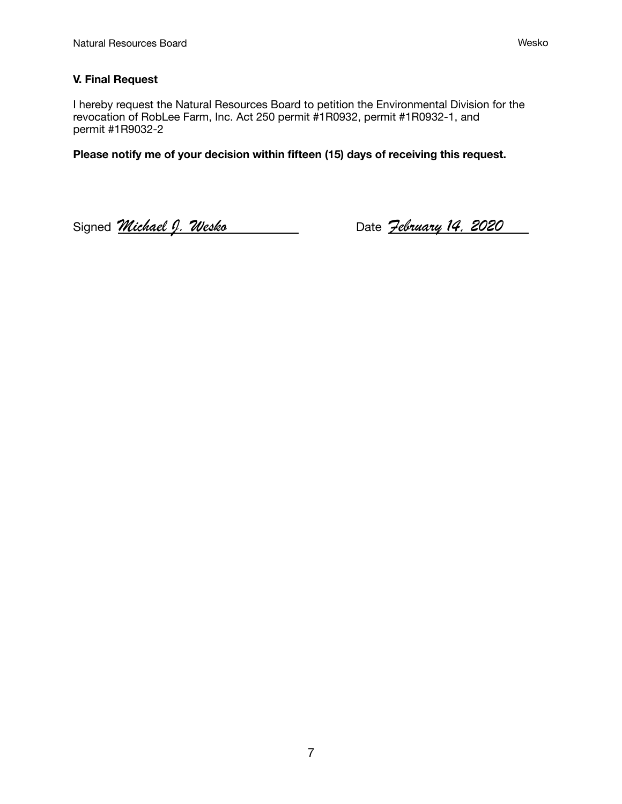## **V. Final Request**

I hereby request the Natural Resources Board to petition the Environmental Division for the revocation of RobLee Farm, Inc. Act 250 permit #1R0932, permit #1R0932-1, and permit #1R9032-2

**Please notify me of your decision within fifteen (15) days of receiving this request.** 

Signed *Michael J. Wesko* Date *February 14, 2020*